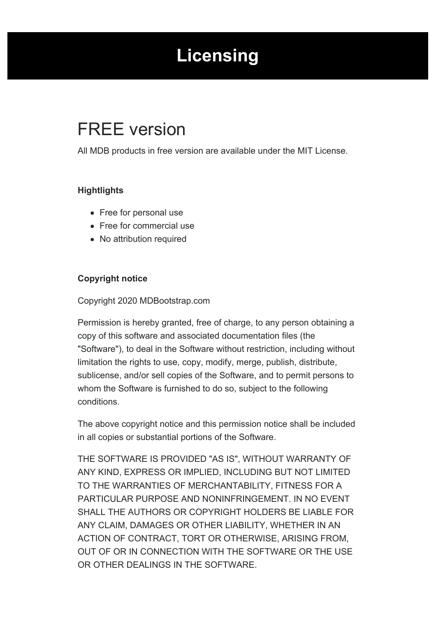# **Licensing**

## <span id="page-0-0"></span>FREE version

All MDB products in free version are available under the MIT License.

## **Hightlights**

- Free for personal use
- Free for commercial use
- No attribution required

## **Copyright notice**

#### Copyright 2020 MDBootstrap.com

Permission is hereby granted, free of charge, to any person obtaining a copy of this software and associated documentation files (the "Software"), to deal in the Software without restriction, including without limitation the rights to use, copy, modify, merge, publish, distribute, sublicense, and/or sell copies of the Software, and to permit persons to whom the Software is furnished to do so, subject to the following conditions.

The above copyright notice and this permission notice shall be included in all copies or substantial portions of the Software.

THE SOFTWARE IS PROVIDED "AS IS", WITHOUT WARRANTY OF ANY KIND, EXPRESS OR IMPLIED, INCLUDING BUT NOT LIMITED TO THE WARRANTIES OF MERCHANTABILITY, FITNESS FOR A PARTICULAR PURPOSE AND NONINFRINGEMENT. IN NO EVENT SHALL THE AUTHORS OR COPYRIGHT HOLDERS BE LIABLE FOR ANY CLAIM, DAMAGES OR OTHER LIABILITY, WHETHER IN AN ACTION OF CONTRACT, TORT OR OTHERWISE, ARISING FROM, OUT OF OR IN CONNECTION WITH THE SOFTWARE OR THE USE OR OTHER DEALINGS IN THE SOFTWARE.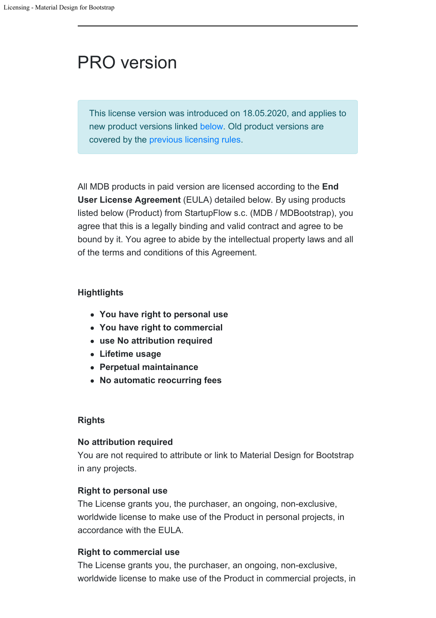# PRO version

This license version was introduced on 18.05.2020, and applies to new product versions linked [below](#page--1-0). Old product versions are covered by the [previous licensing rules.](https://mdbootstrap.com/general/license/)

All MDB products in paid version are licensed according to the **End User License Agreement** (EULA) detailed below. By using products listed below (Product) from StartupFlow s.c. (MDB / MDBootstrap), you agree that this is a legally binding and valid contract and agree to be bound by it. You agree to abide by the intellectual property laws and all of the terms and conditions of this Agreement.

## **Hightlights**

- **You have right to personal use**
- **You have right to commercial**
- **use No attribution required**
- **Lifetime usage**
- **Perpetual maintainance**
- **No automatic reocurring fees**

## **Rights**

#### **No attribution required**

You are not required to attribute or link to Material Design for Bootstrap in any projects.

## **Right to personal use**

The License grants you, the purchaser, an ongoing, non-exclusive, worldwide license to make use of the Product in personal projects, in accordance with the EULA.

## **Right to commercial use**

The License grants you, the purchaser, an ongoing, non-exclusive, worldwide license to make use of the Product in commercial projects, in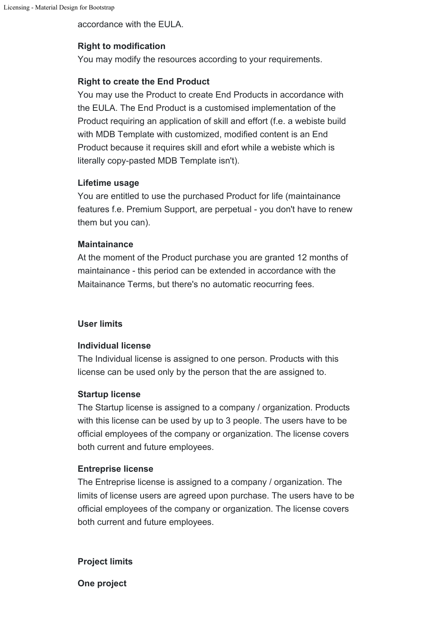accordance with the EULA.

## **Right to modification**

You may modify the resources according to your requirements.

### **Right to create the End Product**

You may use the Product to create End Products in accordance with the EULA. The End Product is a customised implementation of the Product requiring an application of skill and effort (f.e. a webiste build with MDB Template with customized, modified content is an End Product because it requires skill and efort while a webiste which is literally copy-pasted MDB Template isn't).

#### **Lifetime usage**

You are entitled to use the purchased Product for life (maintainance features f.e. Premium Support, are perpetual - you don't have to renew them but you can).

#### **Maintainance**

At the moment of the Product purchase you are granted 12 months of maintainance - this period can be extended in accordance with the Maitainance Terms, but there's no automatic reocurring fees.

#### **User limits**

#### **Individual license**

The Individual license is assigned to one person. Products with this license can be used only by the person that the are assigned to.

#### **Startup license**

The Startup license is assigned to a company / organization. Products with this license can be used by up to 3 people. The users have to be official employees of the company or organization. The license covers both current and future employees.

#### **Entreprise license**

The Entreprise license is assigned to a company / organization. The limits of license users are agreed upon purchase. The users have to be official employees of the company or organization. The license covers both current and future employees.

#### **Project limits**

**One project**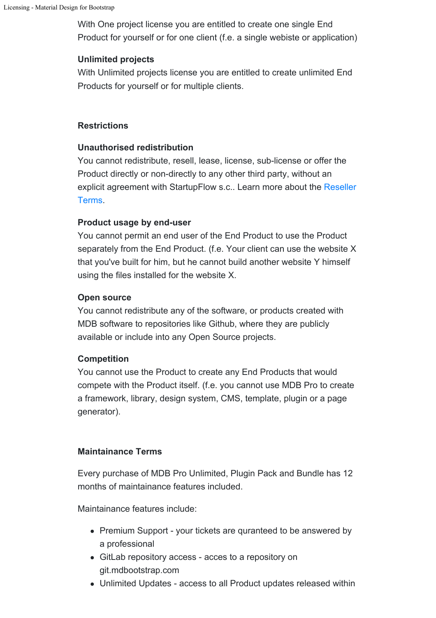With One project license you are entitled to create one single End Product for yourself or for one client (f.e. a single webiste or application)

#### **Unlimited projects**

With Unlimited projects license you are entitled to create unlimited End Products for yourself or for multiple clients.

#### **Restrictions**

#### **Unauthorised redistribution**

You cannot redistribute, resell, lease, license, sub-license or offer the Product directly or non-directly to any other third party, without an explicit agreement with StartupFlow s.c.. Learn more about the [Reseller](https://mdbootstrap.com/resellers/) [Terms.](https://mdbootstrap.com/resellers/)

#### **Product usage by end-user**

You cannot permit an end user of the End Product to use the Product separately from the End Product. (f.e. Your client can use the website X that you've built for him, but he cannot build another website Y himself using the files installed for the website X.

#### **Open source**

You cannot redistribute any of the software, or products created with MDB software to repositories like Github, where they are publicly available or include into any Open Source projects.

## **Competition**

You cannot use the Product to create any End Products that would compete with the Product itself. (f.e. you cannot use MDB Pro to create a framework, library, design system, CMS, template, plugin or a page generator).

## **Maintainance Terms**

Every purchase of MDB Pro Unlimited, Plugin Pack and Bundle has 12 months of maintainance features included.

Maintainance features include:

- Premium Support your tickets are quranteed to be answered by a professional
- GitLab repository access acces to a repository on git.mdbootstrap.com
- Unlimited Updates access to all Product updates released within